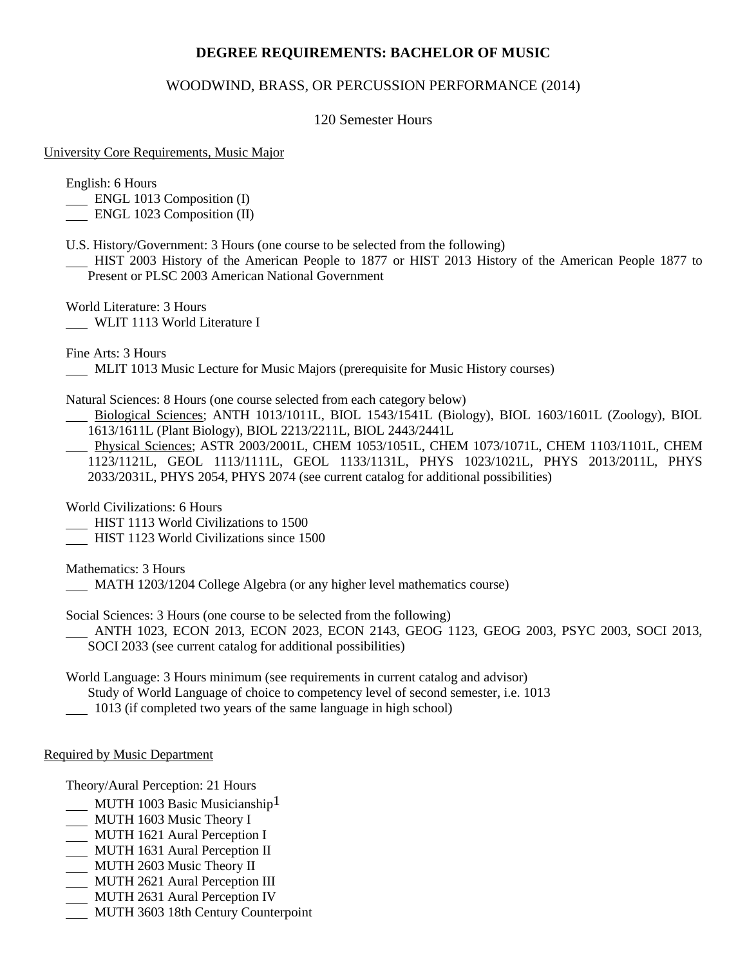# **DEGREE REQUIREMENTS: BACHELOR OF MUSIC**

## WOODWIND, BRASS, OR PERCUSSION PERFORMANCE (2014)

### 120 Semester Hours

#### University Core Requirements, Music Major

English: 6 Hours

- ENGL 1013 Composition (I)
- ENGL 1023 Composition (II)
- U.S. History/Government: 3 Hours (one course to be selected from the following)
- HIST 2003 History of the American People to 1877 or HIST 2013 History of the American People 1877 to Present or PLSC 2003 American National Government

World Literature: 3 Hours WLIT 1113 World Literature I

Fine Arts: 3 Hours

- MLIT 1013 Music Lecture for Music Majors (prerequisite for Music History courses)
- Natural Sciences: 8 Hours (one course selected from each category below)
- Biological Sciences; ANTH 1013/1011L, BIOL 1543/1541L (Biology), BIOL 1603/1601L (Zoology), BIOL 1613/1611L (Plant Biology), BIOL 2213/2211L, BIOL 2443/2441L
- Physical Sciences; ASTR 2003/2001L, CHEM 1053/1051L, CHEM 1073/1071L, CHEM 1103/1101L, CHEM 1123/1121L, GEOL 1113/1111L, GEOL 1133/1131L, PHYS 1023/1021L, PHYS 2013/2011L, PHYS 2033/2031L, PHYS 2054, PHYS 2074 (see current catalog for additional possibilities)

World Civilizations: 6 Hours

- HIST 1113 World Civilizations to 1500
- HIST 1123 World Civilizations since 1500

Mathematics: 3 Hours

MATH 1203/1204 College Algebra (or any higher level mathematics course)

Social Sciences: 3 Hours (one course to be selected from the following)

 ANTH 1023, ECON 2013, ECON 2023, ECON 2143, GEOG 1123, GEOG 2003, PSYC 2003, SOCI 2013, SOCI 2033 (see current catalog for additional possibilities)

World Language: 3 Hours minimum (see requirements in current catalog and advisor)

- Study of World Language of choice to competency level of second semester, i.e. 1013
- 1013 (if completed two years of the same language in high school)

### Required by Music Department

Theory/Aural Perception: 21 Hours

- $\_$  MUTH 1003 Basic Musicianship<sup>1</sup>
- MUTH 1603 Music Theory I
- MUTH 1621 Aural Perception I
- MUTH 1631 Aural Perception II
- MUTH 2603 Music Theory II
- MUTH 2621 Aural Perception III
- MUTH 2631 Aural Perception IV
- MUTH 3603 18th Century Counterpoint